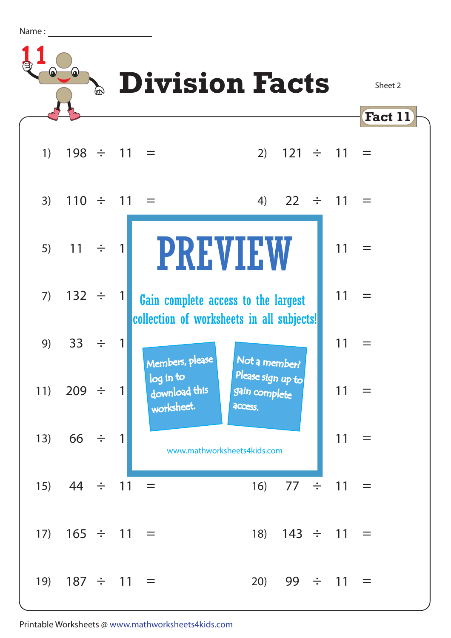| Ν |      |  |
|---|------|--|
|   | vame |  |